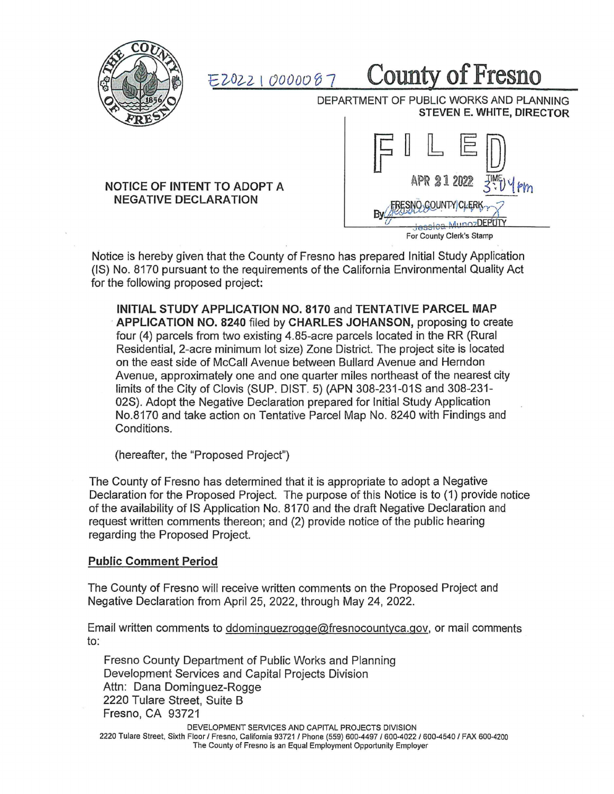

*EZ-02--2* I *00000* f) <sup>7</sup>County **of Fresno** 

DEPARTMENT OF PUBLIC WORKS AND PLANNING **STEVEN** E. **WHITE, DIRECTOR** 

## **NOTICE OF INTENT TO ADOPT A NEGATIVE DECLARATION**



Notice is hereby given that the County of Fresno has prepared Initial Study Application (IS) No. 8170 pursuant to the requirements of the California Environmental Quality Act for the following proposed project:

**INITIAL STUDY APPLICATION NO. 8170** and **TENTATIVE PARCEL MAP**  · **APPLICATION NO. 8240** filed by **CHARLES JOHANSON,** proposing to create four (4) parcels from two existing 4.85-acre parcels located in the RR (Rural Residential, 2-acre minimum lot size) Zone District. The project site is located on the east side of McCall Avenue between Bullard Avenue and Herndon Avenue, approximately one and one quarter miles northeast of the nearest city limits of the City of Clovis (SUP. DIST. 5) (APN 308-231-01S and 308-231- 02S). Adopt the Negative Declaration prepared for Initial Study Application No.8170 and take action on Tentative Parcel Map No. 8240 with Findings and Conditions.

(hereafter, the "Proposed Project")

The County of Fresno has determined that it is appropriate to adopt a Negative Declaration for the Proposed Project. The purpose of this Notice is to (1) provide notice of the availability of IS Application No. 8170 and the draft Negative Declaration and request written comments thereon; and (2) provide notice of the public hearing regarding the Proposed Project.

## **Public Comment Period**

The County of Fresno will receive written comments on the Proposed Project and Negative Declaration from April 25, 2022, through May 24, 2022.

Email written comments to ddominquezroqge@fresnocountyca.gov, or mail comments to:

Fresno County Department of Public Works and Planning Development Services and Capital Projects Division Attn: Dana Dominguez-Rogge 2220 Tulare Street, Suite B Fresno, CA 93721

DEVELOPMENT SERVICES AND CAPITAL PROJECTS DIVISION 2220 Tulare Street, Sixth Floor/ Fresno, California 93721 / Phone (559) 600-4497 / 600-4022 / 600-4540 / FAX 600-4200 The County of Fresno is an Equal Employment Opportunity Employer